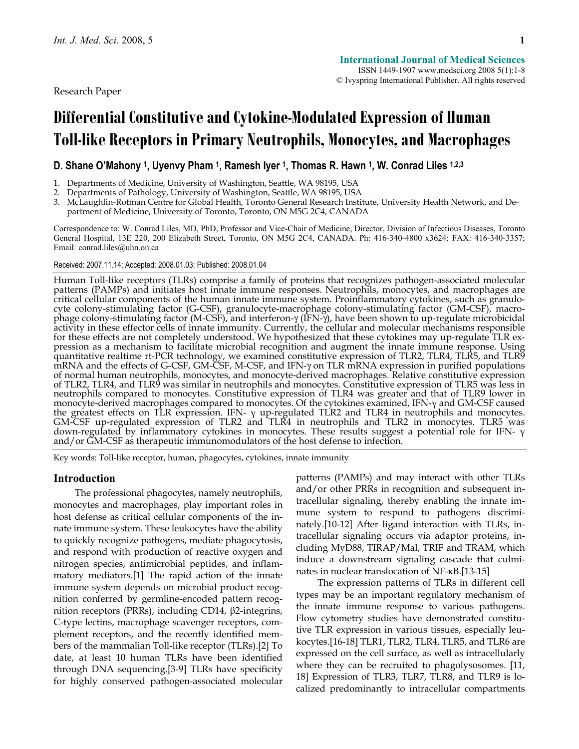Research Paper

# **Differential Constitutive and Cytokine-Modulated Expression of Human Toll-like Receptors in Primary Neutrophils, Monocytes, and Macrophages**

# **D. Shane O'Mahony 1, Uyenvy Pham 1, Ramesh Iyer 1, Thomas R. Hawn 1, W. Conrad Liles 1,2,3**

1. Departments of Medicine, University of Washington, Seattle, WA 98195, USA

2. Departments of Pathology, University of Washington, Seattle, WA 98195, USA

3. McLaughlin-Rotman Centre for Global Health, Toronto General Research Institute, University Health Network, and Department of Medicine, University of Toronto, Toronto, ON M5G 2C4, CANADA

Correspondence to: W. Conrad Liles, MD, PhD, Professor and Vice-Chair of Medicine, Director, Division of Infectious Diseases, Toronto General Hospital, 13E 220, 200 Elizabeth Street, Toronto, ON M5G 2C4, CANADA. Ph: 416-340-4800 x3624; FAX: 416-340-3357; Email: conrad.liles@uhn.on.ca

#### Received: 2007.11.14; Accepted: 2008.01.03; Published: 2008.01.04

Human Toll-like receptors (TLRs) comprise a family of proteins that recognizes pathogen-associated molecular patterns (PAMPs) and initiates host innate immune responses. Neutrophils, monocytes, and macrophages are critical cellular components of the human innate immune system. Proinflammatory cytokines, such as granulocyte colony-stimulating factor (G-CSF), granulocyte-macrophage colony-stimulating factor (GM-CSF), macro-<br>phage colony-stimulating factor (M-CSF), and interferon-γ (IFN-γ), have been shown to up-regulate microbicidal activity in these effector cells of innate immunity. Currently, the cellular and molecular mechanisms responsible for these effects are not completely understood. We hypothesized that these cytokines may up-regulate TLR ex- pression as a mechanism to facilitate microbial recognition and augment the innate immune response. Using quantitative realtime rt-PCR technology, we examined constitutive expression of TLR2, TLR4, TLR5, and TLR9 mRNA and the effects of G-CSF, GM-CSF, M-CSF, and IFN-γ on TLR mRNA expression in purified populations<br>of normal human neutrophils, monocytes, and monocyte-derived macrophages. Relative constitutive expression of TLR2, TLR4, and TLR9 was similar in neutrophils and monocytes. Constitutive expression of TLR5 was less in<br>neutrophils compared to monocytes. Constitutive expression of TLR4 was greater and that of TLR9 lower in monocyte-derived macrophages compared to monocytes. Of the cytokines examined, IFN-γ and GM-CSF caused the greatest effects on TLR expression. IFN- γ up-regulated TLR2 and TLR4 in neutrophils and monocytes. GM-CSF up-regulated expression of TLR2 and TLR4 in neutrophils and TLR2 in monocytes. TLR5 was down-regulated by inflammatory cytokines in monocytes. These results suggest a potential role for IFN- γ and/or GM-CSF as therapeutic immunomodulators of the host defense to infection.

Key words: Toll-like receptor, human, phagocytes, cytokines, innate immunity

# **Introduction**

The professional phagocytes, namely neutrophils, monocytes and macrophages, play important roles in host defense as critical cellular components of the innate immune system. These leukocytes have the ability to quickly recognize pathogens, mediate phagocytosis, and respond with production of reactive oxygen and nitrogen species, antimicrobial peptides, and inflammatory mediators.[1] The rapid action of the innate immune system depends on microbial product recognition conferred by germline-encoded pattern recognition receptors (PRRs), including CD14, β2-integrins, C-type lectins, macrophage scavenger receptors, complement receptors, and the recently identified members of the mammalian Toll-like receptor (TLRs).[2] To date, at least 10 human TLRs have been identified through DNA sequencing.[3-9] TLRs have specificity for highly conserved pathogen-associated molecular patterns (PAMPs) and may interact with other TLRs and/or other PRRs in recognition and subsequent intracellular signaling, thereby enabling the innate immune system to respond to pathogens discriminately.[10-12] After ligand interaction with TLRs, intracellular signaling occurs via adaptor proteins, including MyD88, TIRAP/Mal, TRIF and TRAM, which induce a downstream signaling cascade that culminates in nuclear translocation of NF-κB.[13-15]

The expression patterns of TLRs in different cell types may be an important regulatory mechanism of the innate immune response to various pathogens. Flow cytometry studies have demonstrated constitutive TLR expression in various tissues, especially leukocytes.[16-18] TLR1, TLR2, TLR4, TLR5, and TLR6 are expressed on the cell surface, as well as intracellularly where they can be recruited to phagolysosomes. [11, 18] Expression of TLR3, TLR7, TLR8, and TLR9 is localized predominantly to intracellular compartments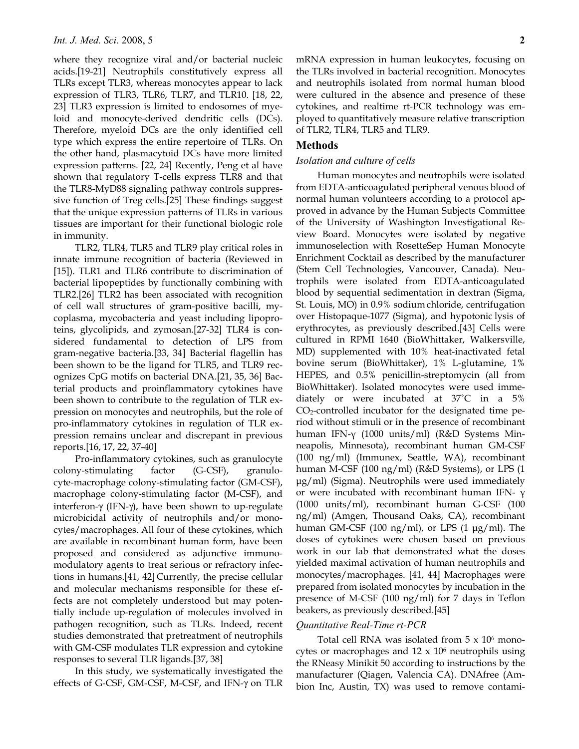where they recognize viral and/or bacterial nucleic acids.[19-21] Neutrophils constitutively express all TLRs except TLR3, whereas monocytes appear to lack expression of TLR3, TLR6, TLR7, and TLR10. [18, 22, 23] TLR3 expression is limited to endosomes of myeloid and monocyte-derived dendritic cells (DCs). Therefore, myeloid DCs are the only identified cell type which express the entire repertoire of TLRs. On the other hand, plasmacytoid DCs have more limited expression patterns. [22, 24] Recently, Peng et al have shown that regulatory T-cells express TLR8 and that the TLR8-MyD88 signaling pathway controls suppressive function of Treg cells.[25] These findings suggest that the unique expression patterns of TLRs in various tissues are important for their functional biologic role in immunity.

TLR2, TLR4, TLR5 and TLR9 play critical roles in innate immune recognition of bacteria (Reviewed in [15]). TLR1 and TLR6 contribute to discrimination of bacterial lipopeptides by functionally combining with TLR2.[26] TLR2 has been associated with recognition of cell wall structures of gram-positive bacilli, mycoplasma, mycobacteria and yeast including lipoproteins, glycolipids, and zymosan.[27-32] TLR4 is considered fundamental to detection of LPS from gram-negative bacteria.[33, 34] Bacterial flagellin has been shown to be the ligand for TLR5, and TLR9 recognizes CpG motifs on bacterial DNA.[21, 35, 36] Bacterial products and proinflammatory cytokines have been shown to contribute to the regulation of TLR expression on monocytes and neutrophils, but the role of pro-inflammatory cytokines in regulation of TLR expression remains unclear and discrepant in previous reports.[16, 17, 22, 37-40]

Pro-inflammatory cytokines, such as granulocyte colony-stimulating factor (G-CSF), granulocyte-macrophage colony-stimulating factor (GM-CSF), macrophage colony-stimulating factor (M-CSF), and interferon-γ (IFN-γ), have been shown to up-regulate microbicidal activity of neutrophils and/or monocytes/macrophages. All four of these cytokines, which are available in recombinant human form, have been proposed and considered as adjunctive immunomodulatory agents to treat serious or refractory infections in humans.[41, 42] Currently, the precise cellular and molecular mechanisms responsible for these effects are not completely understood but may potentially include up-regulation of molecules involved in pathogen recognition, such as TLRs. Indeed, recent studies demonstrated that pretreatment of neutrophils with GM-CSF modulates TLR expression and cytokine responses to several TLR ligands.[37, 38]

In this study, we systematically investigated the effects of G-CSF, GM-CSF, M-CSF, and IFN-γ on TLR mRNA expression in human leukocytes, focusing on the TLRs involved in bacterial recognition. Monocytes and neutrophils isolated from normal human blood were cultured in the absence and presence of these cytokines, and realtime rt-PCR technology was employed to quantitatively measure relative transcription of TLR2, TLR4, TLR5 and TLR9.

# **Methods**

# *Isolation and culture of cells*

Human monocytes and neutrophils were isolated from EDTA-anticoagulated peripheral venous blood of normal human volunteers according to a protocol approved in advance by the Human Subjects Committee of the University of Washington Investigational Review Board. Monocytes were isolated by negative immunoselection with RosetteSep Human Monocyte Enrichment Cocktail as described by the manufacturer (Stem Cell Technologies, Vancouver, Canada). Neutrophils were isolated from EDTA-anticoagulated blood by sequential sedimentation in dextran (Sigma, St. Louis, MO) in 0.9% sodium chloride, centrifugation over Histopaque-1077 (Sigma), and hypotonic lysis of erythrocytes, as previously described.[43] Cells were cultured in RPMI 1640 (BioWhittaker, Walkersville, MD) supplemented with 10% heat-inactivated fetal bovine serum (BioWhittaker), 1% L-glutamine, 1% HEPES, and 0.5% penicillin-streptomycin (all from BioWhittaker). Isolated monocytes were used immediately or were incubated at 37˚C in a 5% CO2-controlled incubator for the designated time period without stimuli or in the presence of recombinant human IFN-γ (1000 units/ml) (R&D Systems Minneapolis, Minnesota), recombinant human GM-CSF (100 ng/ml) (Immunex, Seattle, WA), recombinant human M-CSF (100 ng/ml) (R&D Systems), or LPS (1 μg/ml) (Sigma). Neutrophils were used immediately or were incubated with recombinant human IFN- γ (1000 units/ml), recombinant human G-CSF (100 ng/ml) (Amgen, Thousand Oaks, CA), recombinant human GM-CSF (100 ng/ml), or LPS (1 μg/ml). The doses of cytokines were chosen based on previous work in our lab that demonstrated what the doses yielded maximal activation of human neutrophils and monocytes/macrophages. [41, 44] Macrophages were prepared from isolated monocytes by incubation in the presence of M-CSF (100 ng/ml) for 7 days in Teflon beakers, as previously described.[45]

## *Quantitative Real-Time rt-PCR*

Total cell RNA was isolated from  $5 \times 10^6$  monocytes or macrophages and  $12 \times 10^6$  neutrophils using the RNeasy Minikit 50 according to instructions by the manufacturer (Qiagen, Valencia CA). DNAfree (Ambion Inc, Austin, TX) was used to remove contami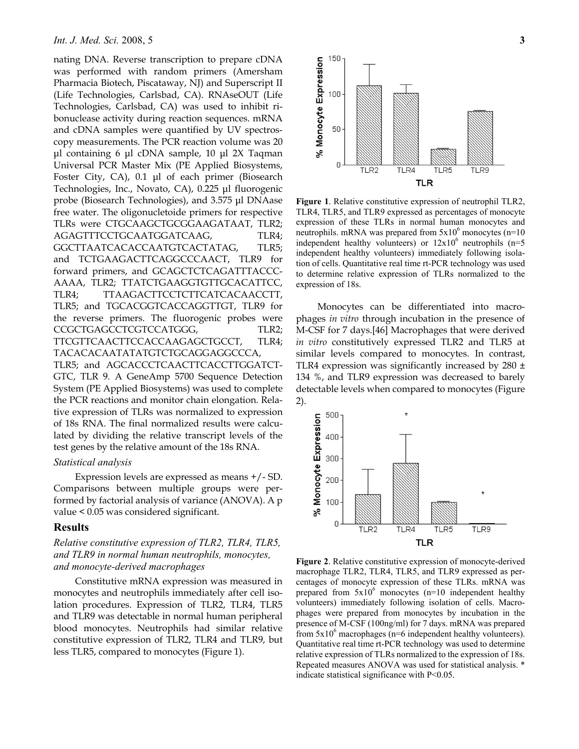nating DNA. Reverse transcription to prepare cDNA was performed with random primers (Amersham Pharmacia Biotech, Piscataway, NJ) and Superscript II (Life Technologies, Carlsbad, CA). RNAseOUT (Life Technologies, Carlsbad, CA) was used to inhibit ribonuclease activity during reaction sequences. mRNA and cDNA samples were quantified by UV spectroscopy measurements. The PCR reaction volume was 20 μl containing 6 μl cDNA sample, 10 μl 2X Taqman Universal PCR Master Mix (PE Applied Biosystems, Foster City, CA), 0.1 μl of each primer (Biosearch Technologies, Inc., Novato, CA), 0.225 μl fluorogenic probe (Biosearch Technologies), and 3.575 μl DNAase free water. The oligonucletoide primers for respective TLRs were CTGCAAGCTGCGGAAGATAAT, TLR2; AGAGTTTCCTGCAATGGATCAAG, TLR4; GGCTTAATCACACCAATGTCACTATAG, TLR5; and TCTGAAGACTTCAGGCCCAACT, TLR9 for forward primers, and GCAGCTCTCAGATTTACCC-AAAA, TLR2; TTATCTGAAGGTGTTGCACATTCC, TLR4; TTAAGACTTCCTCTTCATCACAACCTT, TLR5; and TGCACGGTCACCAGGTTGT, TLR9 for the reverse primers. The fluorogenic probes were CCGCTGAGCCTCGTCCATGGG, TLR2; TTCGTTCAACTTCCACCAAGAGCTGCCT, TLR4; TACACACAATATATGTCTGCAGGAGGCCCA, TLR5; and AGCACCCTCAACTTCACCTTGGATCT-

GTC, TLR 9. A GeneAmp 5700 Sequence Detection System (PE Applied Biosystems) was used to complete the PCR reactions and monitor chain elongation. Relative expression of TLRs was normalized to expression of 18s RNA. The final normalized results were calculated by dividing the relative transcript levels of the test genes by the relative amount of the 18s RNA.

#### *Statistical analysis*

Expression levels are expressed as means +/- SD. Comparisons between multiple groups were performed by factorial analysis of variance (ANOVA). A p value < 0.05 was considered significant.

# **Results**

*Relative constitutive expression of TLR2, TLR4, TLR5, and TLR9 in normal human neutrophils, monocytes, and monocyte-derived macrophages* 

Constitutive mRNA expression was measured in monocytes and neutrophils immediately after cell isolation procedures. Expression of TLR2, TLR4, TLR5 and TLR9 was detectable in normal human peripheral blood monocytes. Neutrophils had similar relative constitutive expression of TLR2, TLR4 and TLR9, but less TLR5, compared to monocytes (Figure 1).



**Figure 1**. Relative constitutive expression of neutrophil TLR2, TLR4, TLR5, and TLR9 expressed as percentages of monocyte expression of these TLRs in normal human monocytes and neutrophils. mRNA was prepared from  $5x10^6$  monocytes (n=10) independent healthy volunteers) or  $12x10^6$  neutrophils (n=5 independent healthy volunteers) immediately following isolation of cells. Quantitative real time rt-PCR technology was used to determine relative expression of TLRs normalized to the expression of 18s.

Monocytes can be differentiated into macrophages *in vitro* through incubation in the presence of M-CSF for 7 days.[46] Macrophages that were derived *in vitro* constitutively expressed TLR2 and TLR5 at similar levels compared to monocytes. In contrast, TLR4 expression was significantly increased by 280 ± 134 %, and TLR9 expression was decreased to barely detectable levels when compared to monocytes (Figure 2).



**Figure 2**. Relative constitutive expression of monocyte-derived macrophage TLR2, TLR4, TLR5, and TLR9 expressed as percentages of monocyte expression of these TLRs. mRNA was prepared from  $5x10^6$  monocytes (n=10 independent healthy volunteers) immediately following isolation of cells. Macrophages were prepared from monocytes by incubation in the presence of M-CSF (100ng/ml) for 7 days. mRNA was prepared from  $5x10^6$  macrophages (n=6 independent healthy volunteers). Quantitative real time rt-PCR technology was used to determine relative expression of TLRs normalized to the expression of 18s. Repeated measures ANOVA was used for statistical analysis. \* indicate statistical significance with P<0.05.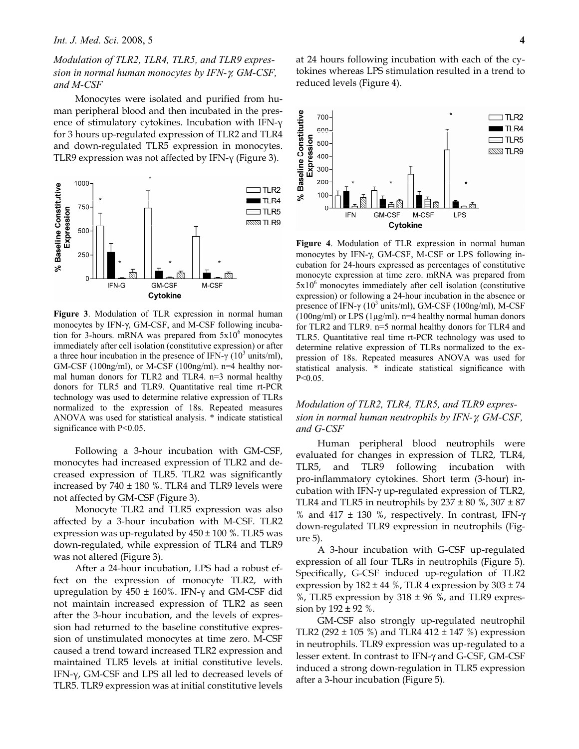*Modulation of TLR2, TLR4, TLR5, and TLR9 expression in normal human monocytes by IFN-*γ*, GM-CSF, and M-CSF* 

Monocytes were isolated and purified from human peripheral blood and then incubated in the presence of stimulatory cytokines. Incubation with IFN-γ for 3 hours up-regulated expression of TLR2 and TLR4 and down-regulated TLR5 expression in monocytes. TLR9 expression was not affected by IFN-γ (Figure 3).



**Figure 3**. Modulation of TLR expression in normal human monocytes by IFN-γ, GM-CSF, and M-CSF following incubation for 3-hours. mRNA was prepared from  $5x10^6$  monocytes immediately after cell isolation (constitutive expression) or after a three hour incubation in the presence of IFN- $\gamma$  (10<sup>3</sup> units/ml), GM-CSF (100ng/ml), or M-CSF (100ng/ml). n=4 healthy normal human donors for TLR2 and TLR4. n=3 normal healthy donors for TLR5 and TLR9. Quantitative real time rt-PCR technology was used to determine relative expression of TLRs normalized to the expression of 18s. Repeated measures ANOVA was used for statistical analysis. \* indicate statistical significance with  $P<0.05$ .

Following a 3-hour incubation with GM-CSF, monocytes had increased expression of TLR2 and decreased expression of TLR5. TLR2 was significantly increased by  $740 \pm 180$  %. TLR4 and TLR9 levels were not affected by GM-CSF (Figure 3).

Monocyte TLR2 and TLR5 expression was also affected by a 3-hour incubation with M-CSF. TLR2 expression was up-regulated by  $450 \pm 100$  %. TLR5 was down-regulated, while expression of TLR4 and TLR9 was not altered (Figure 3).

After a 24-hour incubation, LPS had a robust effect on the expression of monocyte TLR2, with upregulation by 450 ± 160%. IFN-γ and GM-CSF did not maintain increased expression of TLR2 as seen after the 3-hour incubation, and the levels of expression had returned to the baseline constitutive expression of unstimulated monocytes at time zero. M-CSF caused a trend toward increased TLR2 expression and maintained TLR5 levels at initial constitutive levels. IFN-γ, GM-CSF and LPS all led to decreased levels of TLR5. TLR9 expression was at initial constitutive levels

at 24 hours following incubation with each of the cytokines whereas LPS stimulation resulted in a trend to reduced levels (Figure 4).



**Figure 4**. Modulation of TLR expression in normal human monocytes by IFN-γ, GM-CSF, M-CSF or LPS following incubation for 24-hours expressed as percentages of constitutive monocyte expression at time zero. mRNA was prepared from 5x10<sup>6</sup> monocytes immediately after cell isolation (constitutive expression) or following a 24-hour incubation in the absence or presence of IFN- $\gamma$  (10<sup>3</sup> units/ml), GM-CSF (100ng/ml), M-CSF  $(100ng/ml)$  or LPS  $(1\mu g/ml)$ . n=4 healthy normal human donors for TLR2 and TLR9. n=5 normal healthy donors for TLR4 and TLR5. Quantitative real time rt-PCR technology was used to determine relative expression of TLRs normalized to the expression of 18s. Repeated measures ANOVA was used for statistical analysis. \* indicate statistical significance with P<0.05.

*Modulation of TLR2, TLR4, TLR5, and TLR9 expression in normal human neutrophils by IFN-*γ*, GM-CSF, and G-CSF* 

Human peripheral blood neutrophils were evaluated for changes in expression of TLR2, TLR4, TLR5, and TLR9 following incubation with pro-inflammatory cytokines. Short term (3-hour) incubation with IFN-γ up-regulated expression of TLR2, TLR4 and TLR5 in neutrophils by  $237 \pm 80$  %,  $307 \pm 87$ % and 417 ± 130 %, respectively. In contrast, IFN-γ down-regulated TLR9 expression in neutrophils (Figure 5).

A 3-hour incubation with G-CSF up-regulated expression of all four TLRs in neutrophils (Figure 5). Specifically, G-CSF induced up-regulation of TLR2 expression by  $182 \pm 44$  %, TLR 4 expression by  $303 \pm 74$ %, TLR5 expression by  $318 \pm 96$  %, and TLR9 expression by  $192 \pm 92$  %.

GM-CSF also strongly up-regulated neutrophil TLR2 (292  $\pm$  105 %) and TLR4 412  $\pm$  147 %) expression in neutrophils. TLR9 expression was up-regulated to a lesser extent. In contrast to IFN-γ and G-CSF, GM-CSF induced a strong down-regulation in TLR5 expression after a 3-hour incubation (Figure 5).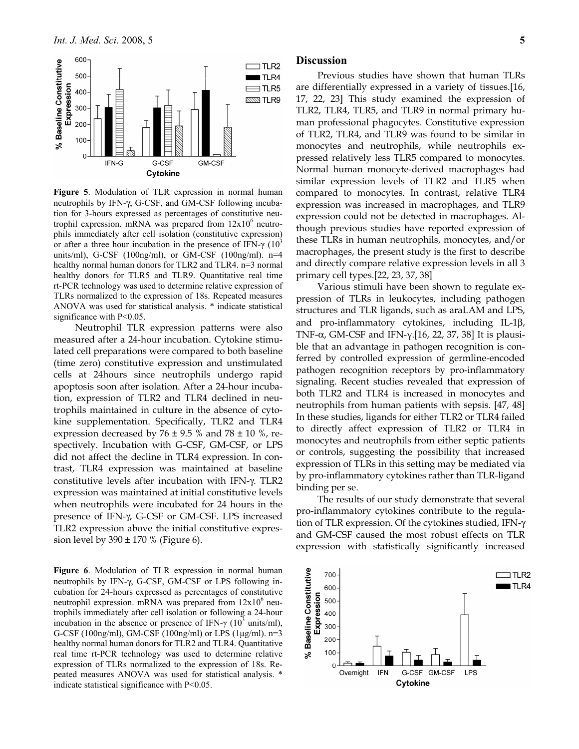

**Figure 5**. Modulation of TLR expression in normal human neutrophils by IFN-γ, G-CSF, and GM-CSF following incubation for 3-hours expressed as percentages of constitutive neutrophil expression. mRNA was prepared from  $12x10^6$  neutrophils immediately after cell isolation (constitutive expression) or after a three hour incubation in the presence of IFN- $\gamma$  (10<sup>3</sup>) units/ml), G-CSF (100ng/ml), or GM-CSF (100ng/ml). n=4 healthy normal human donors for TLR2 and TLR4. n=3 normal healthy donors for TLR5 and TLR9. Quantitative real time rt-PCR technology was used to determine relative expression of TLRs normalized to the expression of 18s. Repeated measures ANOVA was used for statistical analysis. \* indicate statistical significance with P<0.05.

Neutrophil TLR expression patterns were also measured after a 24-hour incubation. Cytokine stimulated cell preparations were compared to both baseline (time zero) constitutive expression and unstimulated cells at 24hours since neutrophils undergo rapid apoptosis soon after isolation. After a 24-hour incubation, expression of TLR2 and TLR4 declined in neutrophils maintained in culture in the absence of cytokine supplementation. Specifically, TLR2 and TLR4 expression decreased by  $76 \pm 9.5$  % and  $78 \pm 10$  %, respectively. Incubation with G-CSF, GM-CSF, or LPS did not affect the decline in TLR4 expression. In contrast, TLR4 expression was maintained at baseline constitutive levels after incubation with IFN-γ. TLR2 expression was maintained at initial constitutive levels when neutrophils were incubated for 24 hours in the presence of IFN-γ, G-CSF or GM-CSF. LPS increased TLR2 expression above the initial constitutive expression level by  $390 \pm 170$  % (Figure 6).

**Figure 6**. Modulation of TLR expression in normal human neutrophils by IFN-γ, G-CSF, GM-CSF or LPS following incubation for 24-hours expressed as percentages of constitutive neutrophil expression. mRNA was prepared from  $12x10^6$  neutrophils immediately after cell isolation or following a 24-hour incubation in the absence or presence of IFN- $\gamma$  (10<sup>3</sup> units/ml), G-CSF (100ng/ml), GM-CSF (100ng/ml) or LPS (1μg/ml). n=3 healthy normal human donors for TLR2 and TLR4. Quantitative real time rt-PCR technology was used to determine relative expression of TLRs normalized to the expression of 18s. Repeated measures ANOVA was used for statistical analysis. \* indicate statistical significance with P<0.05.

# **Discussion**

Previous studies have shown that human TLRs are differentially expressed in a variety of tissues.[16, 17, 22, 23] This study examined the expression of TLR2, TLR4, TLR5, and TLR9 in normal primary human professional phagocytes. Constitutive expression of TLR2, TLR4, and TLR9 was found to be similar in monocytes and neutrophils, while neutrophils expressed relatively less TLR5 compared to monocytes. Normal human monocyte-derived macrophages had similar expression levels of TLR2 and TLR5 when compared to monocytes. In contrast, relative TLR4 expression was increased in macrophages, and TLR9 expression could not be detected in macrophages. Although previous studies have reported expression of these TLRs in human neutrophils, monocytes, and/or macrophages, the present study is the first to describe and directly compare relative expression levels in all 3 primary cell types.[22, 23, 37, 38]

Various stimuli have been shown to regulate expression of TLRs in leukocytes, including pathogen structures and TLR ligands, such as araLAM and LPS, and pro-inflammatory cytokines, including IL-1β, TNF- $\alpha$ , GM-CSF and IFN- $\gamma$ . [16, 22, 37, 38] It is plausible that an advantage in pathogen recognition is conferred by controlled expression of germline-encoded pathogen recognition receptors by pro-inflammatory signaling. Recent studies revealed that expression of both TLR2 and TLR4 is increased in monocytes and neutrophils from human patients with sepsis. [47, 48] In these studies, ligands for either TLR2 or TLR4 failed to directly affect expression of TLR2 or TLR4 in monocytes and neutrophils from either septic patients or controls, suggesting the possibility that increased expression of TLRs in this setting may be mediated via by pro-inflammatory cytokines rather than TLR-ligand binding per se.

The results of our study demonstrate that several pro-inflammatory cytokines contribute to the regulation of TLR expression. Of the cytokines studied, IFN-γ and GM-CSF caused the most robust effects on TLR expression with statistically significantly increased

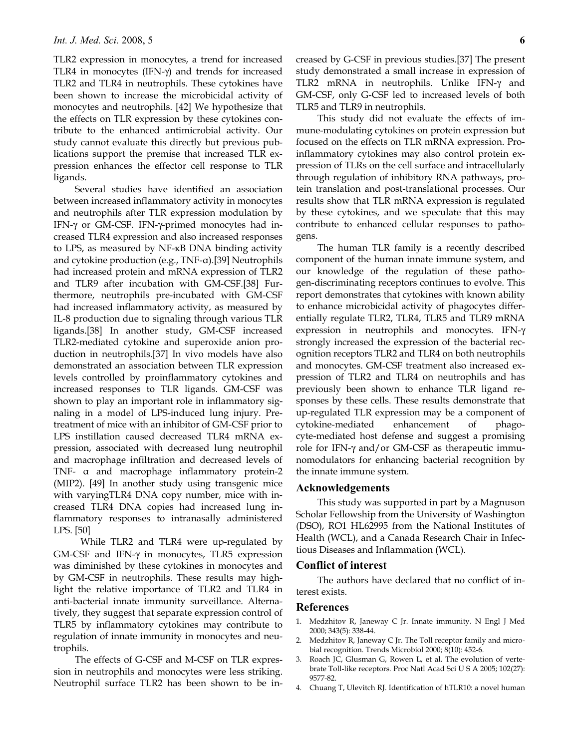TLR2 expression in monocytes, a trend for increased TLR4 in monocytes (IFN-γ) and trends for increased TLR2 and TLR4 in neutrophils. These cytokines have been shown to increase the microbicidal activity of monocytes and neutrophils. [42] We hypothesize that the effects on TLR expression by these cytokines contribute to the enhanced antimicrobial activity. Our study cannot evaluate this directly but previous publications support the premise that increased TLR expression enhances the effector cell response to TLR ligands.

Several studies have identified an association between increased inflammatory activity in monocytes and neutrophils after TLR expression modulation by IFN-γ or GM-CSF. IFN-γ-primed monocytes had increased TLR4 expression and also increased responses to LPS, as measured by NF-κB DNA binding activity and cytokine production (e.g., TNF-α).[39] Neutrophils had increased protein and mRNA expression of TLR2 and TLR9 after incubation with GM-CSF.[38] Furthermore, neutrophils pre-incubated with GM-CSF had increased inflammatory activity, as measured by IL-8 production due to signaling through various TLR ligands.[38] In another study, GM-CSF increased TLR2-mediated cytokine and superoxide anion production in neutrophils.[37] In vivo models have also demonstrated an association between TLR expression levels controlled by proinflammatory cytokines and increased responses to TLR ligands. GM-CSF was shown to play an important role in inflammatory signaling in a model of LPS-induced lung injury. Pretreatment of mice with an inhibitor of GM-CSF prior to LPS instillation caused decreased TLR4 mRNA expression, associated with decreased lung neutrophil and macrophage infiltration and decreased levels of TNF- α and macrophage inflammatory protein-2 (MIP2). [49] In another study using transgenic mice with varyingTLR4 DNA copy number, mice with increased TLR4 DNA copies had increased lung inflammatory responses to intranasally administered LPS. [50]

 While TLR2 and TLR4 were up-regulated by GM-CSF and IFN-γ in monocytes, TLR5 expression was diminished by these cytokines in monocytes and by GM-CSF in neutrophils. These results may highlight the relative importance of TLR2 and TLR4 in anti-bacterial innate immunity surveillance. Alternatively, they suggest that separate expression control of TLR5 by inflammatory cytokines may contribute to regulation of innate immunity in monocytes and neutrophils.

The effects of G-CSF and M-CSF on TLR expression in neutrophils and monocytes were less striking. Neutrophil surface TLR2 has been shown to be increased by G-CSF in previous studies.[37] The present study demonstrated a small increase in expression of TLR2 mRNA in neutrophils. Unlike IFN-γ and GM-CSF, only G-CSF led to increased levels of both TLR5 and TLR9 in neutrophils.

This study did not evaluate the effects of immune-modulating cytokines on protein expression but focused on the effects on TLR mRNA expression. Proinflammatory cytokines may also control protein expression of TLRs on the cell surface and intracellularly through regulation of inhibitory RNA pathways, protein translation and post-translational processes. Our results show that TLR mRNA expression is regulated by these cytokines, and we speculate that this may contribute to enhanced cellular responses to pathogens.

The human TLR family is a recently described component of the human innate immune system, and our knowledge of the regulation of these pathogen-discriminating receptors continues to evolve. This report demonstrates that cytokines with known ability to enhance microbicidal activity of phagocytes differentially regulate TLR2, TLR4, TLR5 and TLR9 mRNA expression in neutrophils and monocytes. IFN-γ strongly increased the expression of the bacterial recognition receptors TLR2 and TLR4 on both neutrophils and monocytes. GM-CSF treatment also increased expression of TLR2 and TLR4 on neutrophils and has previously been shown to enhance TLR ligand responses by these cells. These results demonstrate that up-regulated TLR expression may be a component of cytokine-mediated enhancement of phagocyte-mediated host defense and suggest a promising role for IFN-γ and/or GM-CSF as therapeutic immunomodulators for enhancing bacterial recognition by the innate immune system.

# **Acknowledgements**

This study was supported in part by a Magnuson Scholar Fellowship from the University of Washington (DSO), RO1 HL62995 from the National Institutes of Health (WCL), and a Canada Research Chair in Infectious Diseases and Inflammation (WCL).

#### **Conflict of interest**

The authors have declared that no conflict of interest exists.

### **References**

- 1. Medzhitov R, Janeway C Jr. Innate immunity. N Engl J Med 2000; 343(5): 338-44.
- 2. Medzhitov R, Janeway C Jr. The Toll receptor family and microbial recognition. Trends Microbiol 2000; 8(10): 452-6.
- 3. Roach JC, Glusman G, Rowen L, et al. The evolution of vertebrate Toll-like receptors. Proc Natl Acad Sci U S A 2005; 102(27): 9577-82.
- 4. Chuang T, Ulevitch RJ. Identification of hTLR10: a novel human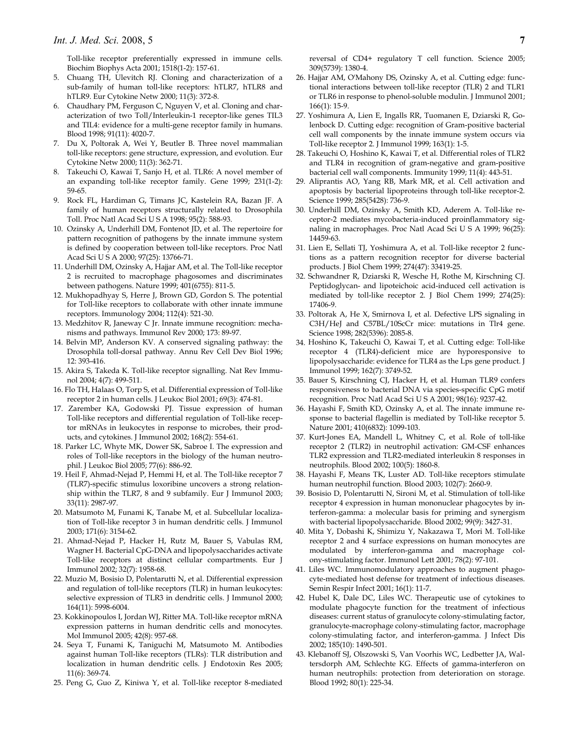Toll-like receptor preferentially expressed in immune cells. Biochim Biophys Acta 2001; 1518(1-2): 157-61.

- 5. Chuang TH, Ulevitch RJ. Cloning and characterization of a sub-family of human toll-like receptors: hTLR7, hTLR8 and hTLR9. Eur Cytokine Netw 2000; 11(3): 372-8.
- 6. Chaudhary PM, Ferguson C, Nguyen V, et al. Cloning and characterization of two Toll/Interleukin-1 receptor-like genes TIL3 and TIL4: evidence for a multi-gene receptor family in humans. Blood 1998; 91(11): 4020-7.
- 7. Du X, Poltorak A, Wei Y, Beutler B. Three novel mammalian toll-like receptors: gene structure, expression, and evolution. Eur Cytokine Netw 2000; 11(3): 362-71.
- 8. Takeuchi O, Kawai T, Sanjo H, et al. TLR6: A novel member of an expanding toll-like receptor family. Gene 1999; 231(1-2): 59-65.
- 9. Rock FL, Hardiman G, Timans JC, Kastelein RA, Bazan JF. A family of human receptors structurally related to Drosophila Toll. Proc Natl Acad Sci U S A 1998; 95(2): 588-93.
- 10. Ozinsky A, Underhill DM, Fontenot JD, et al. The repertoire for pattern recognition of pathogens by the innate immune system is defined by cooperation between toll-like receptors. Proc Natl Acad Sci U S A 2000; 97(25): 13766-71.
- 11. Underhill DM, Ozinsky A, Hajjar AM, et al. The Toll-like receptor 2 is recruited to macrophage phagosomes and discriminates between pathogens. Nature 1999; 401(6755): 811-5.
- 12. Mukhopadhyay S, Herre J, Brown GD, Gordon S. The potential for Toll-like receptors to collaborate with other innate immune receptors. Immunology 2004; 112(4): 521-30.
- 13. Medzhitov R, Janeway C Jr. Innate immune recognition: mechanisms and pathways. Immunol Rev 2000; 173: 89-97.
- 14. Belvin MP, Anderson KV. A conserved signaling pathway: the Drosophila toll-dorsal pathway. Annu Rev Cell Dev Biol 1996; 12: 393-416.
- 15. Akira S, Takeda K. Toll-like receptor signalling. Nat Rev Immunol 2004; 4(7): 499-511.
- 16. Flo TH, Halaas O, Torp S, et al. Differential expression of Toll-like receptor 2 in human cells. J Leukoc Biol 2001; 69(3): 474-81.
- 17. Zarember KA, Godowski PJ. Tissue expression of human Toll-like receptors and differential regulation of Toll-like receptor mRNAs in leukocytes in response to microbes, their products, and cytokines. J Immunol 2002; 168(2): 554-61.
- 18. Parker LC, Whyte MK, Dower SK, Sabroe I. The expression and roles of Toll-like receptors in the biology of the human neutrophil. J Leukoc Biol 2005; 77(6): 886-92.
- 19. Heil F, Ahmad-Nejad P, Hemmi H, et al. The Toll-like receptor 7 (TLR7)-specific stimulus loxoribine uncovers a strong relationship within the TLR7, 8 and 9 subfamily. Eur J Immunol 2003; 33(11): 2987-97.
- 20. Matsumoto M, Funami K, Tanabe M, et al. Subcellular localization of Toll-like receptor 3 in human dendritic cells. J Immunol 2003; 171(6): 3154-62.
- 21. Ahmad-Nejad P, Hacker H, Rutz M, Bauer S, Vabulas RM, Wagner H. Bacterial CpG-DNA and lipopolysaccharides activate Toll-like receptors at distinct cellular compartments. Eur J Immunol 2002; 32(7): 1958-68.
- 22. Muzio M, Bosisio D, Polentarutti N, et al. Differential expression and regulation of toll-like receptors (TLR) in human leukocytes: selective expression of TLR3 in dendritic cells. J Immunol 2000; 164(11): 5998-6004.
- 23. Kokkinopoulos I, Jordan WJ, Ritter MA. Toll-like receptor mRNA expression patterns in human dendritic cells and monocytes. Mol Immunol 2005; 42(8): 957-68.
- 24. Seya T, Funami K, Taniguchi M, Matsumoto M. Antibodies against human Toll-like receptors (TLRs): TLR distribution and localization in human dendritic cells. J Endotoxin Res 2005; 11(6): 369-74.
- 25. Peng G, Guo Z, Kiniwa Y, et al. Toll-like receptor 8-mediated

reversal of CD4+ regulatory T cell function. Science 2005; 309(5739): 1380-4.

- 26. Hajjar AM, O'Mahony DS, Ozinsky A, et al. Cutting edge: functional interactions between toll-like receptor (TLR) 2 and TLR1 or TLR6 in response to phenol-soluble modulin. J Immunol 2001; 166(1): 15-9.
- 27. Yoshimura A, Lien E, Ingalls RR, Tuomanen E, Dziarski R, Golenbock D. Cutting edge: recognition of Gram-positive bacterial cell wall components by the innate immune system occurs via Toll-like receptor 2. J Immunol 1999; 163(1): 1-5.
- 28. Takeuchi O, Hoshino K, Kawai T, et al. Differential roles of TLR2 and TLR4 in recognition of gram-negative and gram-positive bacterial cell wall components. Immunity 1999; 11(4): 443-51.
- 29. Aliprantis AO, Yang RB, Mark MR, et al. Cell activation and apoptosis by bacterial lipoproteins through toll-like receptor-2. Science 1999; 285(5428): 736-9.
- 30. Underhill DM, Ozinsky A, Smith KD, Aderem A. Toll-like receptor-2 mediates mycobacteria-induced proinflammatory signaling in macrophages. Proc Natl Acad Sci U S A 1999; 96(25): 14459-63.
- 31. Lien E, Sellati TJ, Yoshimura A, et al. Toll-like receptor 2 functions as a pattern recognition receptor for diverse bacterial products. J Biol Chem 1999; 274(47): 33419-25.
- 32. Schwandner R, Dziarski R, Wesche H, Rothe M, Kirschning CJ. Peptidoglycan- and lipoteichoic acid-induced cell activation is mediated by toll-like receptor 2. J Biol Chem 1999; 274(25): 17406-9.
- 33. Poltorak A, He X, Smirnova I, et al. Defective LPS signaling in C3H/HeJ and C57BL/10ScCr mice: mutations in Tlr4 gene. Science 1998; 282(5396): 2085-8.
- 34. Hoshino K, Takeuchi O, Kawai T, et al. Cutting edge: Toll-like receptor 4 (TLR4)-deficient mice are hyporesponsive to lipopolysaccharide: evidence for TLR4 as the Lps gene product. J Immunol 1999; 162(7): 3749-52.
- 35. Bauer S, Kirschning CJ, Hacker H, et al. Human TLR9 confers responsiveness to bacterial DNA via species-specific CpG motif recognition. Proc Natl Acad Sci U S A 2001; 98(16): 9237-42.
- 36. Hayashi F, Smith KD, Ozinsky A, et al. The innate immune response to bacterial flagellin is mediated by Toll-like receptor 5. Nature 2001; 410(6832): 1099-103.
- 37. Kurt-Jones EA, Mandell L, Whitney C, et al. Role of toll-like receptor 2 (TLR2) in neutrophil activation: GM-CSF enhances TLR2 expression and TLR2-mediated interleukin 8 responses in neutrophils. Blood 2002; 100(5): 1860-8.
- 38. Hayashi F, Means TK, Luster AD. Toll-like receptors stimulate human neutrophil function. Blood 2003; 102(7): 2660-9.
- 39. Bosisio D, Polentarutti N, Sironi M, et al. Stimulation of toll-like receptor 4 expression in human mononuclear phagocytes by interferon-gamma: a molecular basis for priming and synergism with bacterial lipopolysaccharide. Blood 2002; 99(9): 3427-31.
- 40. Mita Y, Dobashi K, Shimizu Y, Nakazawa T, Mori M. Toll-like receptor 2 and 4 surface expressions on human monocytes are modulated by interferon-gamma and macrophage colony-stimulating factor. Immunol Lett 2001; 78(2): 97-101.
- 41. Liles WC. Immunomodulatory approaches to augment phagocyte-mediated host defense for treatment of infectious diseases. Semin Respir Infect 2001; 16(1): 11-7.
- 42. Hubel K, Dale DC, Liles WC. Therapeutic use of cytokines to modulate phagocyte function for the treatment of infectious diseases: current status of granulocyte colony-stimulating factor, granulocyte-macrophage colony-stimulating factor, macrophage colony-stimulating factor, and interferon-gamma. J Infect Dis 2002; 185(10): 1490-501.
- 43. Klebanoff SJ, Olszowski S, Van Voorhis WC, Ledbetter JA, Waltersdorph AM, Schlechte KG. Effects of gamma-interferon on human neutrophils: protection from deterioration on storage. Blood 1992; 80(1): 225-34.